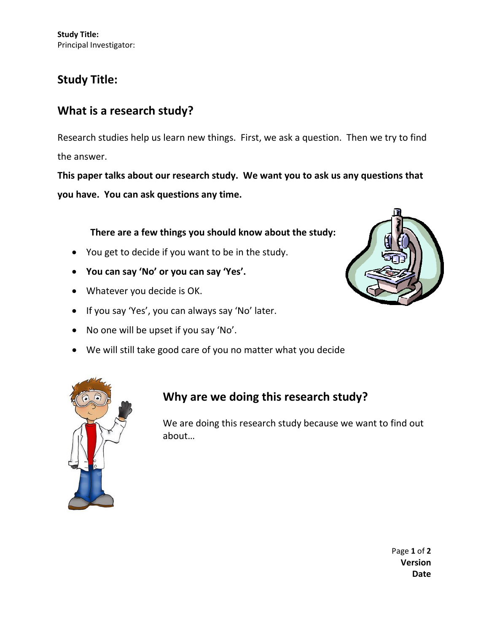**Study Title:** Principal Investigator:

### **Study Title:**

### **What is a research study?**

Research studies help us learn new things. First, we ask a question. Then we try to find the answer.

**This paper talks about our research study. We want you to ask us any questions that you have. You can ask questions any time.**

#### **There are a few things you should know about the study:**

- You get to decide if you want to be in the study.
- **You can say 'No' or you can say 'Yes'.**
- Whatever you decide is OK.
- If you say 'Yes', you can always say 'No' later.
- No one will be upset if you say 'No'.
- We will still take good care of you no matter what you decide





### **Why are we doing this research study?**

We are doing this research study because we want to find out about…

> Page **1** of **2 Version Date**